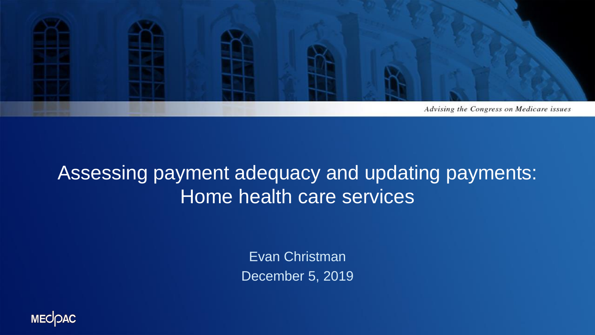

#### Assessing payment adequacy and updating payments: Home health care services

Evan Christman December 5, 2019

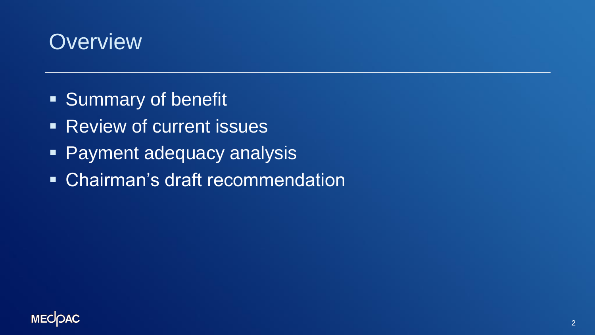### **Overview**

- Summary of benefit
- **EXECTED PREVIEW OF CULTER LISTICS**
- **Payment adequacy analysis**
- **Early Chairman's draft recommendation**

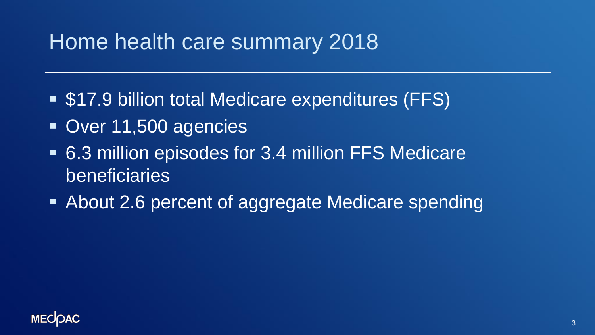## Home health care summary 2018

- \$17.9 billion total Medicare expenditures (FFS)
- Over 11,500 agencies
- 6.3 million episodes for 3.4 million FFS Medicare beneficiaries
- About 2.6 percent of aggregate Medicare spending

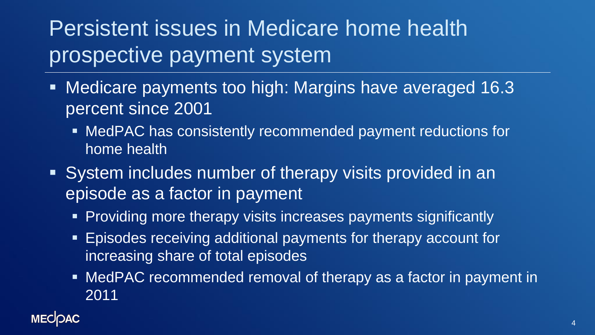## Persistent issues in Medicare home health prospective payment system

- **EXPED IN Medicare payments too high: Margins have averaged 16.3** percent since 2001
	- MedPAC has consistently recommended payment reductions for home health
- System includes number of therapy visits provided in an episode as a factor in payment
	- **Providing more therapy visits increases payments significantly**
	- **Episodes receiving additional payments for therapy account for** increasing share of total episodes
	- MedPAC recommended removal of therapy as a factor in payment in 2011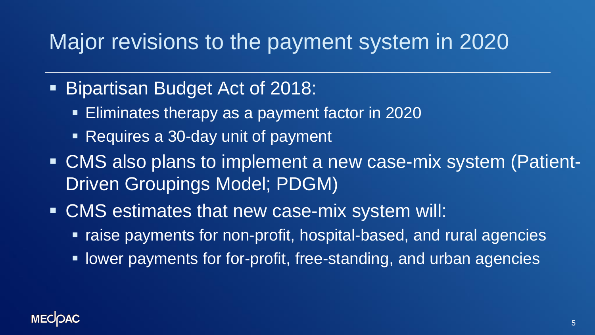### Major revisions to the payment system in 2020

- **Bipartisan Budget Act of 2018:** 
	- **Eliminates therapy as a payment factor in 2020**
	- Requires a 30-day unit of payment
- CMS also plans to implement a new case-mix system (Patient-Driven Groupings Model; PDGM)
- CMS estimates that new case-mix system will:
	- raise payments for non-profit, hospital-based, and rural agencies
	- **EXPLEX FIGHT IS DETEXAM IN THE PROFIT FIGHT IS A FIGHT IS A FIGHT IS A FIGHT IS A FIGHT IS A FIGHT IS A FIGHT I**

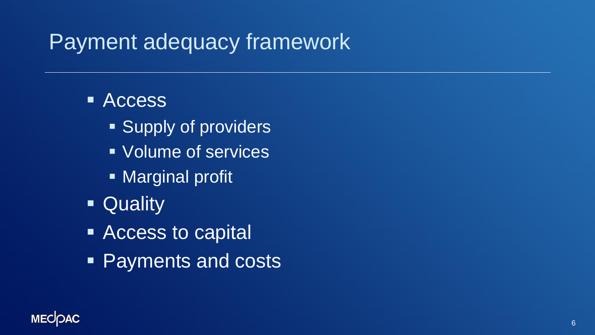## Payment adequacy framework

#### ■ Access

- Supply of providers
- Volume of services
- Marginal profit
- Quality
- Access to capital
- Payments and costs

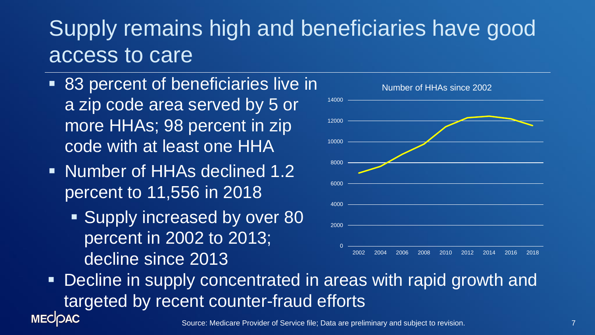## Supply remains high and beneficiaries have good access to care

- 83 percent of beneficiaries live in a zip code area served by 5 or more HHAs; 98 percent in zip code with at least one HHA
- Number of HHAs declined 1.2 percent to 11,556 in 2018
	- Supply increased by over 80 percent in 2002 to 2013; decline since 2013



Decline in supply concentrated in areas with rapid growth and targeted by recent counter-fraud efforts**MECOAC**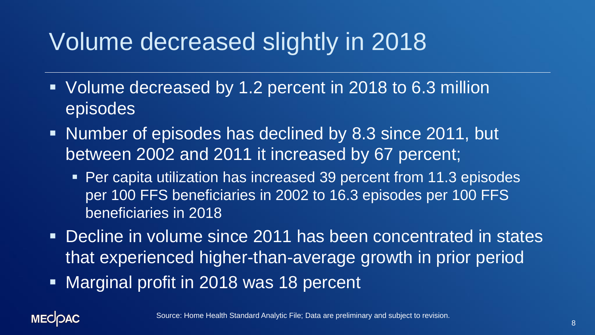# Volume decreased slightly in 2018

- Volume decreased by 1.2 percent in 2018 to 6.3 million episodes
- Number of episodes has declined by 8.3 since 2011, but between 2002 and 2011 it increased by 67 percent;
	- Per capita utilization has increased 39 percent from 11.3 episodes per 100 FFS beneficiaries in 2002 to 16.3 episodes per 100 FFS beneficiaries in 2018
- **Decline in volume since 2011 has been concentrated in states** that experienced higher-than-average growth in prior period
- **EXA** Marginal profit in 2018 was 18 percent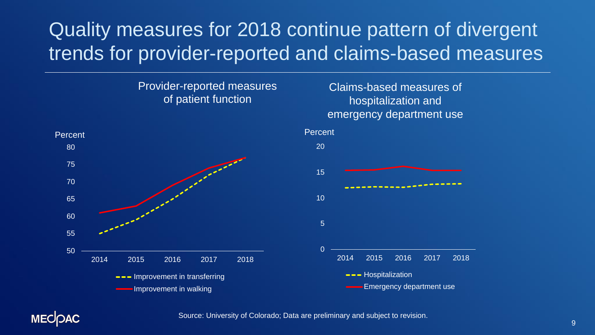#### Quality measures for 2018 continue pattern of divergent trends for provider-reported and claims-based measures

#### Provider-reported measures of patient function



#### Claims-based measures of hospitalization and emergency department use



**MECOAC** 

Source: University of Colorado; Data are preliminary and subject to revision.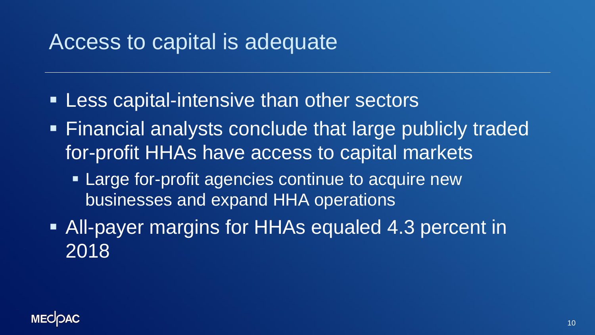### Access to capital is adequate

- **Example 1 Less capital-intensive than other sectors**
- Financial analysts conclude that large publicly traded for-profit HHAs have access to capital markets
	- **Example for-profit agencies continue to acquire new** businesses and expand HHA operations
- All-payer margins for HHAs equaled 4.3 percent in 2018

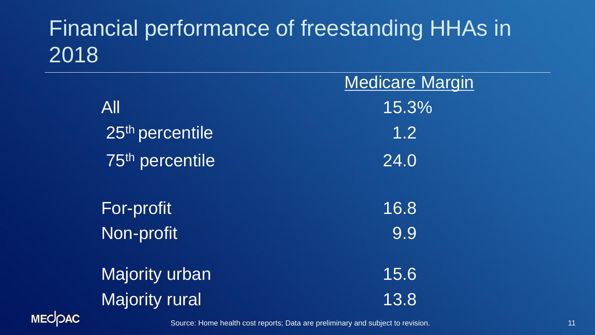## Financial performance of freestanding HHAs in 2018

|               |                             | <b>Medicare Margin</b>                                                         |  |  |
|---------------|-----------------------------|--------------------------------------------------------------------------------|--|--|
|               | All                         | 15.3%                                                                          |  |  |
|               | 25 <sup>th</sup> percentile | 1.2                                                                            |  |  |
|               | 75 <sup>th</sup> percentile | 24.0                                                                           |  |  |
|               | <b>For-profit</b>           | 16.8                                                                           |  |  |
|               | Non-profit                  | 9.9                                                                            |  |  |
|               | <b>Majority urban</b>       | 15.6                                                                           |  |  |
|               | <b>Majority rural</b>       | 13.8                                                                           |  |  |
| <b>MECOAC</b> |                             | Source: Home health cost reports: Data are preliminary and subject to revision |  |  |

Source: Home health cost reports; Data are preliminary and subject to revision.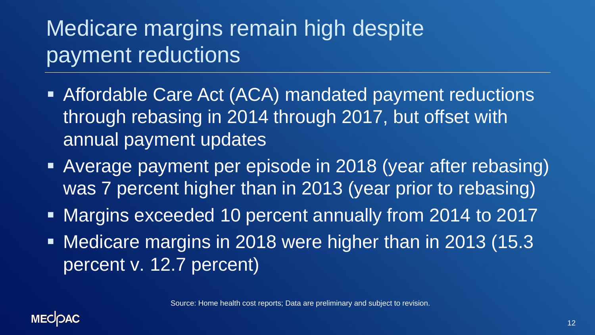## Medicare margins remain high despite payment reductions

- **EXTERGABLE Care Act (ACA) mandated payment reductions** through rebasing in 2014 through 2017, but offset with annual payment updates
- **EXPERIGE PAYMENT per episode in 2018 (year after rebasing)** was 7 percent higher than in 2013 (year prior to rebasing)
- Margins exceeded 10 percent annually from 2014 to 2017
- Medicare margins in 2018 were higher than in 2013 (15.3 percent v. 12.7 percent)

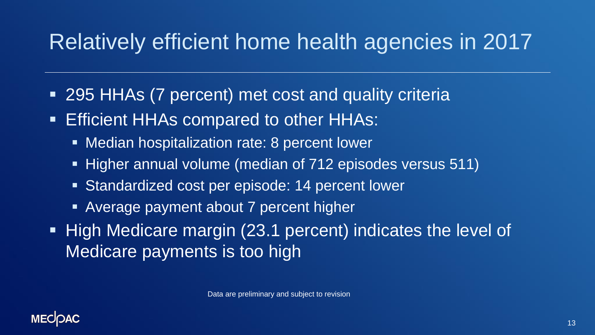## Relatively efficient home health agencies in 2017

- 295 HHAs (7 percent) met cost and quality criteria
- **Efficient HHAs compared to other HHAs:** 
	- Median hospitalization rate: 8 percent lower
	- Higher annual volume (median of 712 episodes versus 511)
	- Standardized cost per episode: 14 percent lower
	- Average payment about 7 percent higher
- High Medicare margin (23.1 percent) indicates the level of Medicare payments is too high

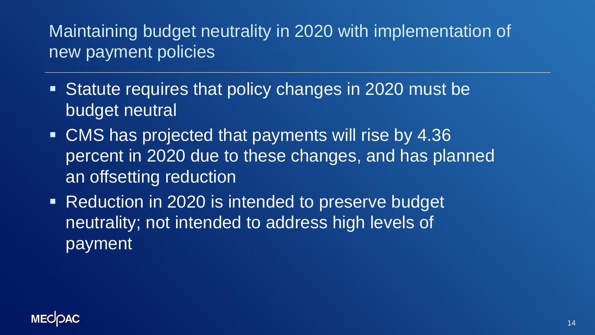#### Maintaining budget neutrality in 2020 with implementation of new payment policies

- Statute requires that policy changes in 2020 must be budget neutral
- CMS has projected that payments will rise by 4.36 percent in 2020 due to these changes, and has planned an offsetting reduction
- **EXAMPLE 10 Reduction in 2020 is intended to preserve budget** neutrality; not intended to address high levels of payment